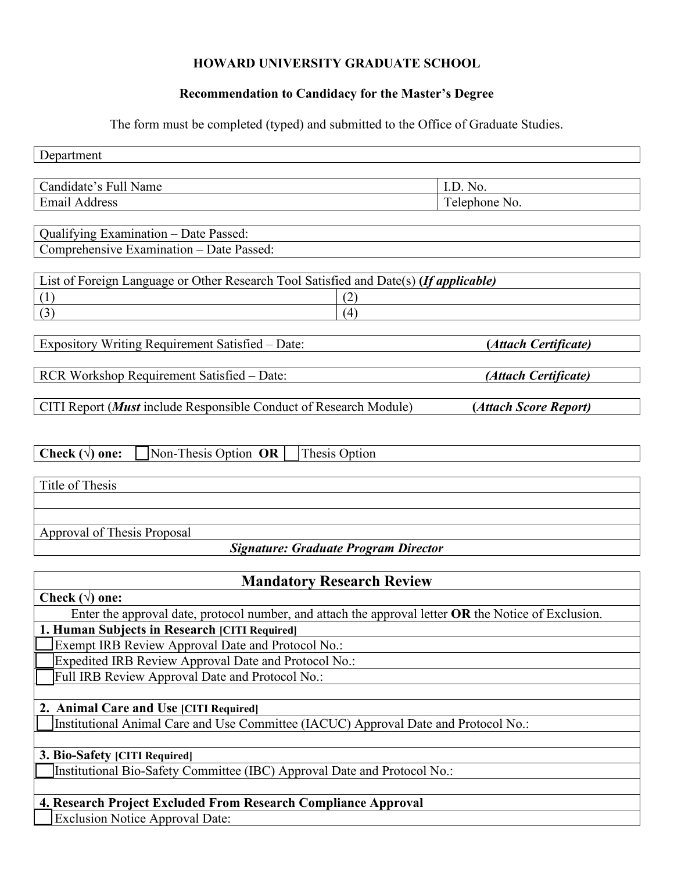### **HOWARD UNIVERSITY GRADUATE SCHOOL**

### **Recommendation to Candidacy for the Master's Degree**

The form must be completed (typed) and submitted to the Office of Graduate Studies.

| Department                                                                            |                       |  |  |
|---------------------------------------------------------------------------------------|-----------------------|--|--|
|                                                                                       |                       |  |  |
| Candidate's Full Name                                                                 | I.D. No.              |  |  |
| <b>Email Address</b>                                                                  | Telephone No.         |  |  |
|                                                                                       |                       |  |  |
| Qualifying Examination - Date Passed:                                                 |                       |  |  |
| Comprehensive Examination - Date Passed:                                              |                       |  |  |
|                                                                                       |                       |  |  |
| List of Foreign Language or Other Research Tool Satisfied and Date(s) (If applicable) |                       |  |  |
| (1)<br>(2)                                                                            |                       |  |  |
| (3)<br>(4)                                                                            |                       |  |  |
|                                                                                       |                       |  |  |
| Expository Writing Requirement Satisfied - Date:                                      | (Attach Certificate)  |  |  |
|                                                                                       |                       |  |  |
| RCR Workshop Requirement Satisfied - Date:                                            | (Attach Certificate)  |  |  |
|                                                                                       |                       |  |  |
| CITI Report ( <i>Must</i> include Responsible Conduct of Research Module)             | (Attach Score Report) |  |  |
|                                                                                       |                       |  |  |
|                                                                                       |                       |  |  |
| Non-Thesis Option OR<br>Check $(\forall)$ one:<br>Thesis Option                       |                       |  |  |
|                                                                                       |                       |  |  |
| Title of Thesis                                                                       |                       |  |  |
|                                                                                       |                       |  |  |
|                                                                                       |                       |  |  |
| Approval of Thesis Proposal                                                           |                       |  |  |
| <b>Signature: Graduate Program Director</b>                                           |                       |  |  |
|                                                                                       |                       |  |  |
| <b>Mandatory Research Review</b>                                                      |                       |  |  |

**Mandatory Research Review**

| Check $(\forall)$ one:                                                                               |  |  |
|------------------------------------------------------------------------------------------------------|--|--|
| Enter the approval date, protocol number, and attach the approval letter OR the Notice of Exclusion. |  |  |
| 1. Human Subjects in Research [CITI Required]                                                        |  |  |
| Exempt IRB Review Approval Date and Protocol No.:                                                    |  |  |
| Expedited IRB Review Approval Date and Protocol No.:                                                 |  |  |
| Full IRB Review Approval Date and Protocol No.:                                                      |  |  |
|                                                                                                      |  |  |
| 2. Animal Care and Use [CITI Required]                                                               |  |  |
| Institutional Animal Care and Use Committee (IACUC) Approval Date and Protocol No.:                  |  |  |
|                                                                                                      |  |  |
| <b>3. Bio-Safety [CITI Required]</b>                                                                 |  |  |
| Institutional Bio-Safety Committee (IBC) Approval Date and Protocol No.:                             |  |  |
|                                                                                                      |  |  |
| 4. Research Project Excluded From Research Compliance Approval                                       |  |  |

Exclusion Notice Approval Date: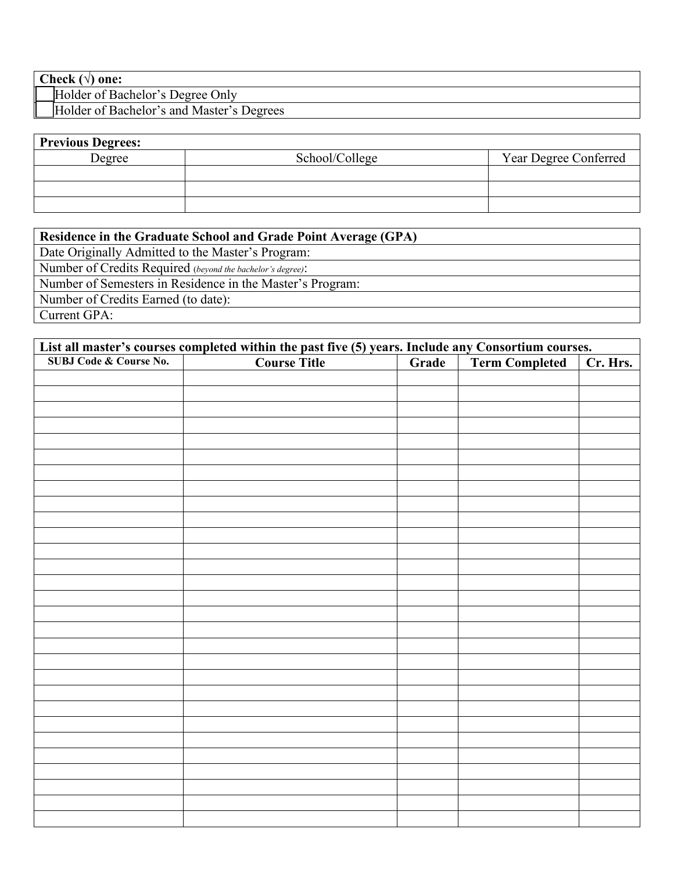| Check $(\forall)$ one: |  |  |
|------------------------|--|--|
|------------------------|--|--|

ľ

Holder of Bachelor's Degree Only

Holder of Bachelor's and Master's Degrees

| <b>Previous Degrees:</b> |                |                       |
|--------------------------|----------------|-----------------------|
| Degree                   | School/College | Year Degree Conferred |
|                          |                |                       |
|                          |                |                       |
|                          |                |                       |

| Residence in the Graduate School and Grade Point Average (GPA) |
|----------------------------------------------------------------|
| Date Originally Admitted to the Master's Program:              |
| Number of Credits Required (beyond the bachelor's degree):     |
| Number of Semesters in Residence in the Master's Program:      |
| Number of Credits Earned (to date):                            |
| Current GPA:                                                   |

| List all master's courses completed within the past five (5) years. Include any Consortium courses. |                     |       |                       |          |
|-----------------------------------------------------------------------------------------------------|---------------------|-------|-----------------------|----------|
| <b>SUBJ Code &amp; Course No.</b>                                                                   | <b>Course Title</b> | Grade | <b>Term Completed</b> | Cr. Hrs. |
|                                                                                                     |                     |       |                       |          |
|                                                                                                     |                     |       |                       |          |
|                                                                                                     |                     |       |                       |          |
|                                                                                                     |                     |       |                       |          |
|                                                                                                     |                     |       |                       |          |
|                                                                                                     |                     |       |                       |          |
|                                                                                                     |                     |       |                       |          |
|                                                                                                     |                     |       |                       |          |
|                                                                                                     |                     |       |                       |          |
|                                                                                                     |                     |       |                       |          |
|                                                                                                     |                     |       |                       |          |
|                                                                                                     |                     |       |                       |          |
|                                                                                                     |                     |       |                       |          |
|                                                                                                     |                     |       |                       |          |
|                                                                                                     |                     |       |                       |          |
|                                                                                                     |                     |       |                       |          |
|                                                                                                     |                     |       |                       |          |
|                                                                                                     |                     |       |                       |          |
|                                                                                                     |                     |       |                       |          |
|                                                                                                     |                     |       |                       |          |
|                                                                                                     |                     |       |                       |          |
|                                                                                                     |                     |       |                       |          |
|                                                                                                     |                     |       |                       |          |
|                                                                                                     |                     |       |                       |          |
|                                                                                                     |                     |       |                       |          |
|                                                                                                     |                     |       |                       |          |
|                                                                                                     |                     |       |                       |          |
|                                                                                                     |                     |       |                       |          |
|                                                                                                     |                     |       |                       |          |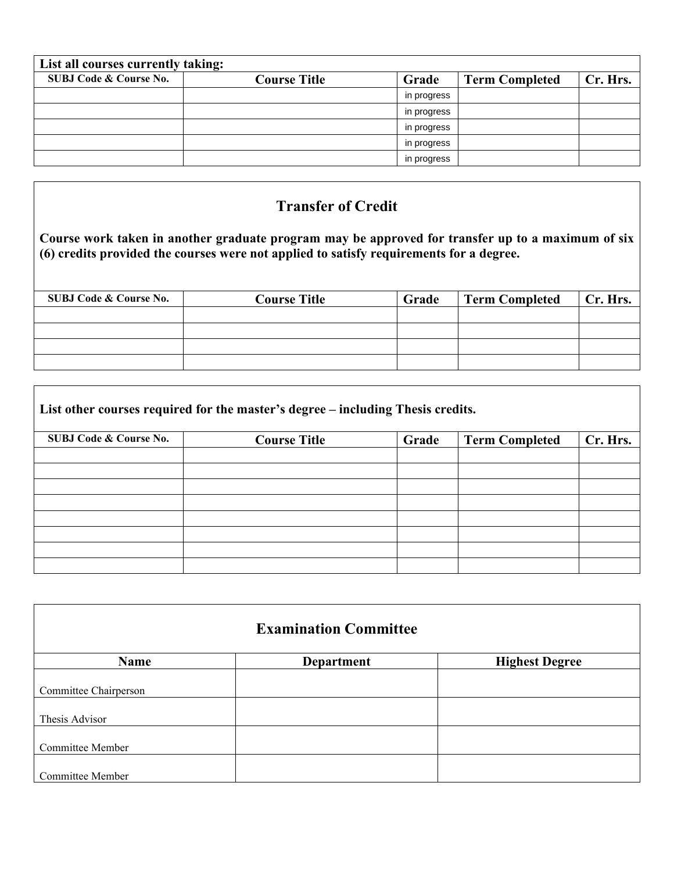| List all courses currently taking: |                     |             |                       |          |
|------------------------------------|---------------------|-------------|-----------------------|----------|
| <b>SUBJ Code &amp; Course No.</b>  | <b>Course Title</b> | Grade       | <b>Term Completed</b> | Cr. Hrs. |
|                                    |                     | in progress |                       |          |
|                                    |                     | in progress |                       |          |
|                                    |                     | in progress |                       |          |
|                                    |                     | in progress |                       |          |
|                                    |                     | in progress |                       |          |

## **Transfer of Credit**

**Course work taken in another graduate program may be approved for transfer up to a maximum of six (6) credits provided the courses were not applied to satisfy requirements for a degree.**

| SUBJ Code & Course No. | <b>Course Title</b> | Grade | Term Completed | Cr. Hrs. |
|------------------------|---------------------|-------|----------------|----------|
|                        |                     |       |                |          |
|                        |                     |       |                |          |
|                        |                     |       |                |          |
|                        |                     |       |                |          |

٦

 $\Gamma$ 

| List other courses required for the master's degree – including Thesis credits. |                     |       |                       |          |
|---------------------------------------------------------------------------------|---------------------|-------|-----------------------|----------|
| <b>SUBJ Code &amp; Course No.</b>                                               | <b>Course Title</b> | Grade | <b>Term Completed</b> | Cr. Hrs. |
|                                                                                 |                     |       |                       |          |
|                                                                                 |                     |       |                       |          |
|                                                                                 |                     |       |                       |          |
|                                                                                 |                     |       |                       |          |
|                                                                                 |                     |       |                       |          |
|                                                                                 |                     |       |                       |          |

| <b>Examination Committee</b> |                   |                       |  |
|------------------------------|-------------------|-----------------------|--|
| <b>Name</b>                  | <b>Department</b> | <b>Highest Degree</b> |  |
| Committee Chairperson        |                   |                       |  |
| Thesis Advisor               |                   |                       |  |
| <b>Committee Member</b>      |                   |                       |  |
| Committee Member             |                   |                       |  |